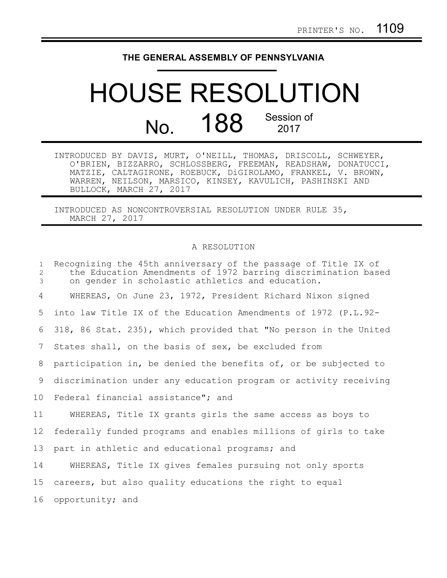## **THE GENERAL ASSEMBLY OF PENNSYLVANIA**

## HOUSE RESOLUTION No. 188 Session of

| INTRODUCED BY DAVIS, MURT, O'NEILL, THOMAS, DRISCOLL, SCHWEYER, |                         |  |                                                              |                                                               |
|-----------------------------------------------------------------|-------------------------|--|--------------------------------------------------------------|---------------------------------------------------------------|
|                                                                 |                         |  |                                                              | O'BRIEN, BIZZARRO, SCHLOSSBERG, FREEMAN, READSHAW, DONATUCCI, |
|                                                                 |                         |  | MATZIE, CALTAGIRONE, ROEBUCK, DiGIROLAMO, FRANKEL, V. BROWN, |                                                               |
|                                                                 |                         |  | WARREN, NEILSON, MARSICO, KINSEY, KAVULICH, PASHINSKI AND    |                                                               |
|                                                                 | BULLOCK, MARCH 27, 2017 |  |                                                              |                                                               |

INTRODUCED AS NONCONTROVERSIAL RESOLUTION UNDER RULE 35, MARCH 27, 2017

## A RESOLUTION

| $\mathbf{1}$<br>$\mathbf{2}$<br>3 | Recognizing the 45th anniversary of the passage of Title IX of<br>the Education Amendments of 1972 barring discrimination based<br>on gender in scholastic athletics and education. |
|-----------------------------------|-------------------------------------------------------------------------------------------------------------------------------------------------------------------------------------|
| 4                                 | WHEREAS, On June 23, 1972, President Richard Nixon signed                                                                                                                           |
| 5                                 | into law Title IX of the Education Amendments of 1972 (P.L.92-                                                                                                                      |
| 6                                 | 318, 86 Stat. 235), which provided that "No person in the United                                                                                                                    |
| 7                                 | States shall, on the basis of sex, be excluded from                                                                                                                                 |
| 8                                 | participation in, be denied the benefits of, or be subjected to                                                                                                                     |
| 9                                 | discrimination under any education program or activity receiving                                                                                                                    |
| 10                                | Federal financial assistance"; and                                                                                                                                                  |
| 11                                | WHEREAS, Title IX grants girls the same access as boys to                                                                                                                           |
| 12                                | federally funded programs and enables millions of girls to take                                                                                                                     |
| 13                                | part in athletic and educational programs; and                                                                                                                                      |
| 14                                | WHEREAS, Title IX gives females pursuing not only sports                                                                                                                            |
| 15                                | careers, but also quality educations the right to equal                                                                                                                             |
| 16                                | opportunity; and                                                                                                                                                                    |